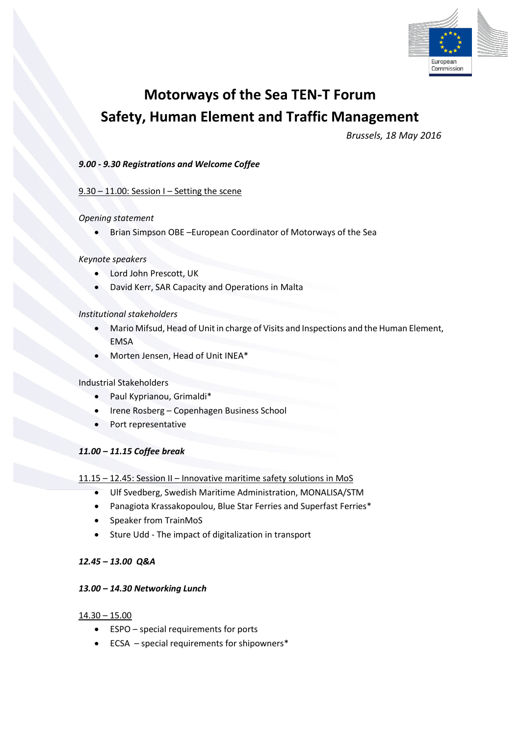

# **Motorways of the Sea TEN-T Forum Safety, Human Element and Traffic Management**

*Brussels, 18 May 2016*

# *9.00 - 9.30 Registrations and Welcome Coffee*

## 9.30 – 11.00: Session I – Setting the scene

#### *Opening statement*

Brian Simpson OBE –European Coordinator of Motorways of the Sea

## *Keynote speakers*

- Lord John Prescott, UK
- David Kerr, SAR Capacity and Operations in Malta

#### *Institutional stakeholders*

- Mario Mifsud, Head of Unit in charge of Visits and Inspections and the Human Element, EMSA
- Morten Jensen, Head of Unit INEA\*

## Industrial Stakeholders

- Paul Kyprianou, Grimaldi\*
- Irene Rosberg Copenhagen Business School
- Port representative

## *11.00 – 11.15 Coffee break*

## 11.15 – 12.45: Session II – Innovative maritime safety solutions in MoS

- Ulf Svedberg, Swedish Maritime Administration, MONALISA/STM
- Panagiota Krassakopoulou, Blue Star Ferries and Superfast Ferries\*
- Speaker from TrainMoS
- Sture Udd The impact of digitalization in transport

## *12.45 – 13.00 Q&A*

## *13.00 – 14.30 Networking Lunch*

## 14.30 – 15.00

- ESPO special requirements for ports
- ECSA special requirements for shipowners\*